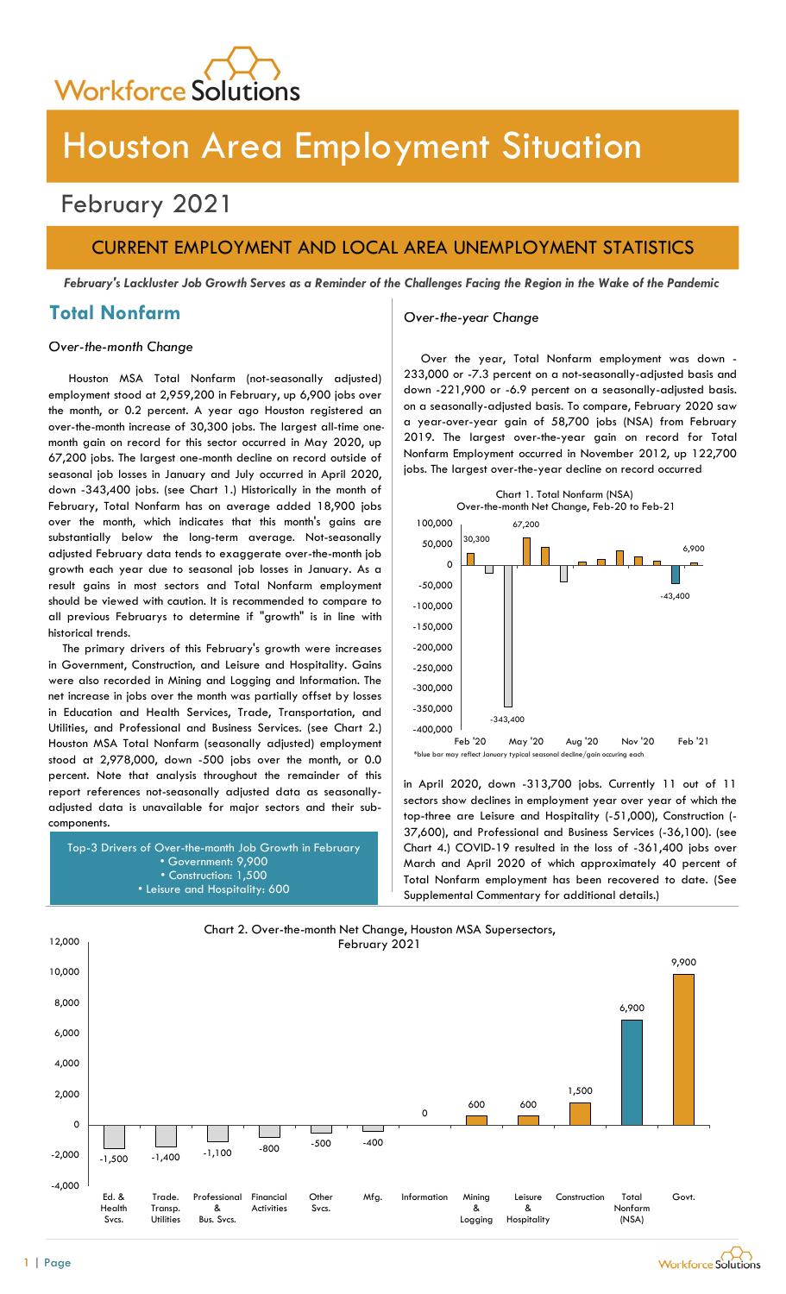

# Houston Area Employment Situation

## February 2021

## CURRENT EMPLOYMENT AND LOCAL AREA UNEMPLOYMENT STATISTICS

February's Lackluster Job Growth Serves as a Reminder of the Challenges Facing the Region in the Wake of the Pandemic

## Total Nonfarm and Over-the-year Change

### Over-the-month Change

Houston MSA Total Nonfarm (not-seasonally adjusted) employment stood at 2,959,200 in February, up 6,900 jobs over the month, or 0.2 percent. A year ago Houston registered an over-the-month increase of 30,300 jobs. The largest all-time onemonth gain on record for this sector occurred in May 2020, up 67,200 jobs. The largest one-month decline on record outside of seasonal job losses in January and July occurred in April 2020, down -343,400 jobs. (see Chart 1.) Historically in the month of February, Total Nonfarm has on average added 18,900 jobs over the month, which indicates that this month's gains are substantially below the long-term average. Not-seasonally adjusted February data tends to exaggerate over-the-month job growth each year due to seasonal job losses in January. As a result gains in most sectors and Total Nonfarm employment should be viewed with caution. It is recommended to compare to all previous Februarys to determine if "growth" is in line with historical trends.

The primary drivers of this February's growth were increases in Government, Construction, and Leisure and Hospitality. Gains were also recorded in Mining and Logging and Information. The net increase in jobs over the month was partially offset by losses in Education and Health Services, Trade, Transportation, and Utilities, and Professional and Business Services. (see Chart 2.) Houston MSA Total Nonfarm (seasonally adjusted) employment stood at 2,978,000, down -500 jobs over the month, or 0.0 percent. Note that analysis throughout the remainder of this report references not-seasonally adjusted data as seasonallyadjusted data is unavailable for major sectors and their subcomponents.

Top-3 Drivers of Over-the-month Job Growth in February • Government: 9,900 • Construction: 1,500 • Leisure and Hospitality: 600

Over the year, Total Nonfarm employment was down 233,000 or -7.3 percent on a not-seasonally-adjusted basis and down -221,900 or -6.9 percent on a seasonally-adjusted basis. on a seasonally-adjusted basis. To compare, February 2020 saw a year-over-year gain of 58,700 jobs (NSA) from February 2019. The largest over-the-year gain on record for Total Nonfarm Employment occurred in November 2012, up 122,700 jobs. The largest over-the-year decline on record occurred



in April 2020, down -313,700 jobs. Currently 11 out of 11 sectors show declines in employment year over year of which the top-three are Leisure and Hospitality (-51,000), Construction (- 37,600), and Professional and Business Services (-36,100). (see Chart 4.) COVID-19 resulted in the loss of -361,400 jobs over March and April 2020 of which approximately 40 percent of Total Nonfarm employment has been recovered to date. (See Supplemental Commentary for additional details.)

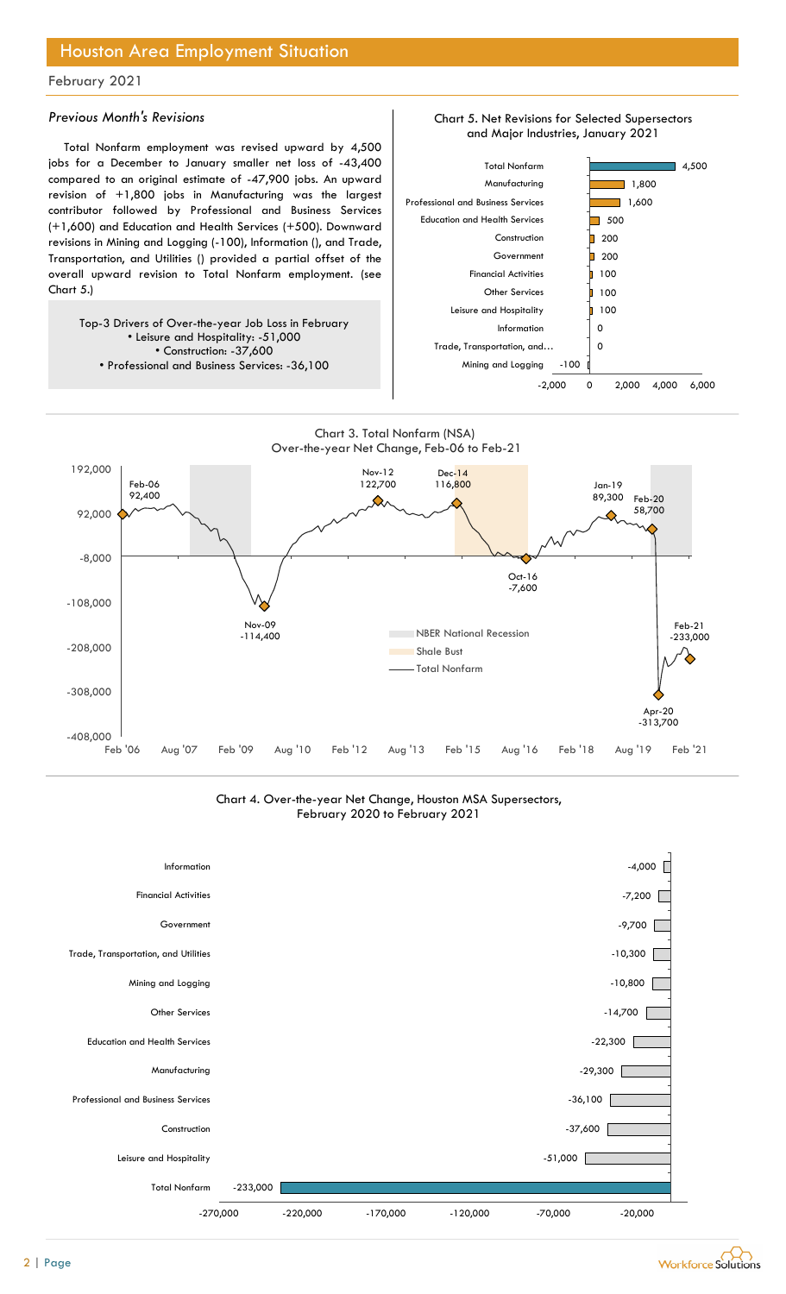## Houston Area Employment Situation

### February 2021

### Previous Month's Revisions

Total Nonfarm employment was revised upward by 4,500 jobs for a December to January smaller net loss of -43,400 compared to an original estimate of -47,900 jobs. An upward revision of +1,800 jobs in Manufacturing was the largest contributor followed by Professional and Business Services (+1,600) and Education and Health Services (+500). Downward revisions in Mining and Logging (-100), Information (), and Trade, Transportation, and Utilities () provided a partial offset of the overall upward revision to Total Nonfarm employment. (see Chart 5.)

Top-3 Drivers of Over-the-year Job Loss in February • Leisure and Hospitality: -51,000 • Construction: -37,600 • Professional and Business Services: -36,100







Chart 4. Over-the-year Net Change, Houston MSA Supersectors, February 2020 to February 2021



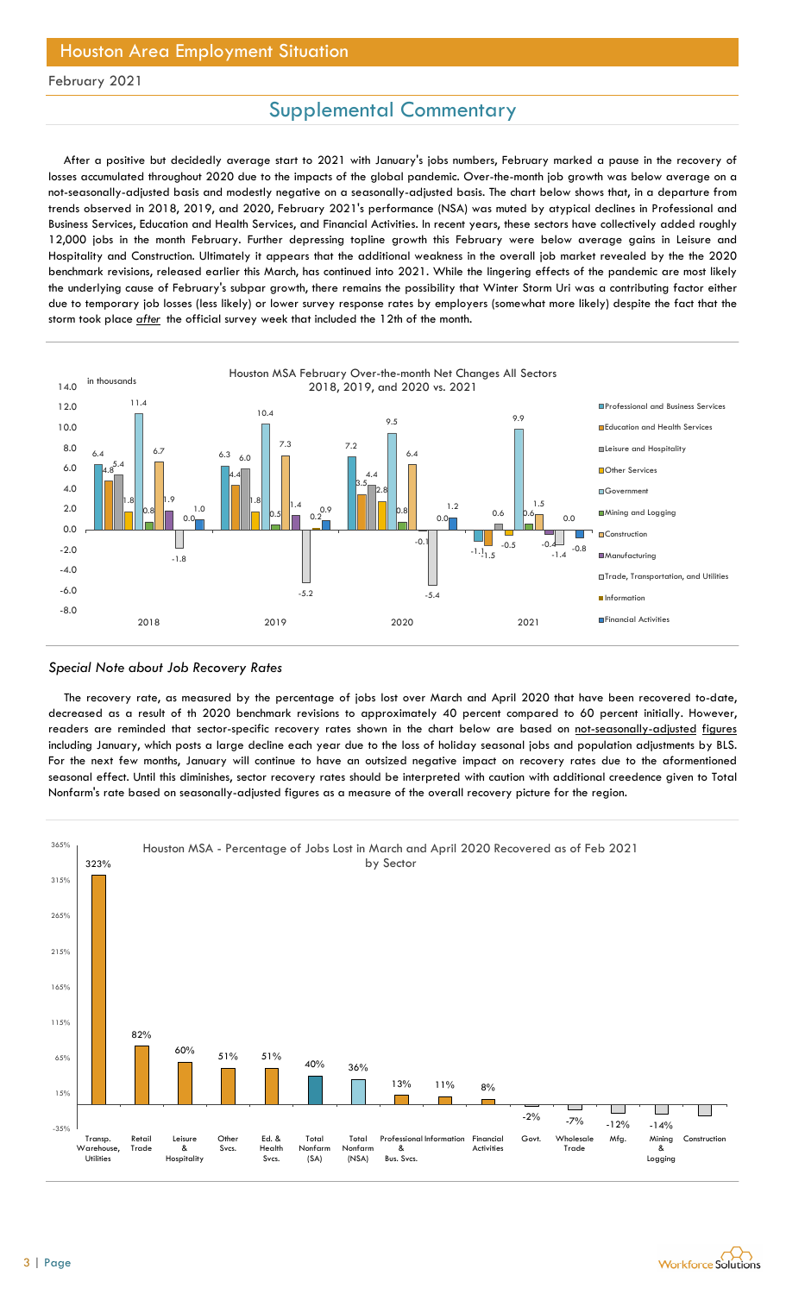## Houston Area Employment Situation

### February 2021

## Supplemental Commentary

After a positive but decidedly average start to 2021 with January's jobs numbers, February marked a pause in the recovery of losses accumulated throughout 2020 due to the impacts of the global pandemic. Over-the-month job growth was below average on a not-seasonally-adjusted basis and modestly negative on a seasonally-adjusted basis. The chart below shows that, in a departure from trends observed in 2018, 2019, and 2020, February 2021's performance (NSA) was muted by atypical declines in Professional and Business Services, Education and Health Services, and Financial Activities. In recent years, these sectors have collectively added roughly 12,000 jobs in the month February. Further depressing topline growth this February were below average gains in Leisure and Hospitality and Construction. Ultimately it appears that the additional weakness in the overall job market revealed by the the 2020 benchmark revisions, released earlier this March, has continued into 2021. While the lingering effects of the pandemic are most likely the underlying cause of February's subpar growth, there remains the possibility that Winter Storm Uri was a contributing factor either due to temporary job losses (less likely) or lower survey response rates by employers (somewhat more likely) despite the fact that the storm took place *after* the official survey week that included the 12th of the month.



#### Special Note about Job Recovery Rates

The recovery rate, as measured by the percentage of jobs lost over March and April 2020 that have been recovered to-date, decreased as a result of th 2020 benchmark revisions to approximately 40 percent compared to 60 percent initially. However, readers are reminded that sector-specific recovery rates shown in the chart below are based on not-seasonally-adjusted figures including January, which posts a large decline each year due to the loss of holiday seasonal jobs and population adjustments by BLS. For the next few months, January will continue to have an outsized negative impact on recovery rates due to the aformentioned seasonal effect. Until this diminishes, sector recovery rates should be interpreted with caution with additional creedence given to Total Nonfarm's rate based on seasonally-adjusted figures as a measure of the overall recovery picture for the region.



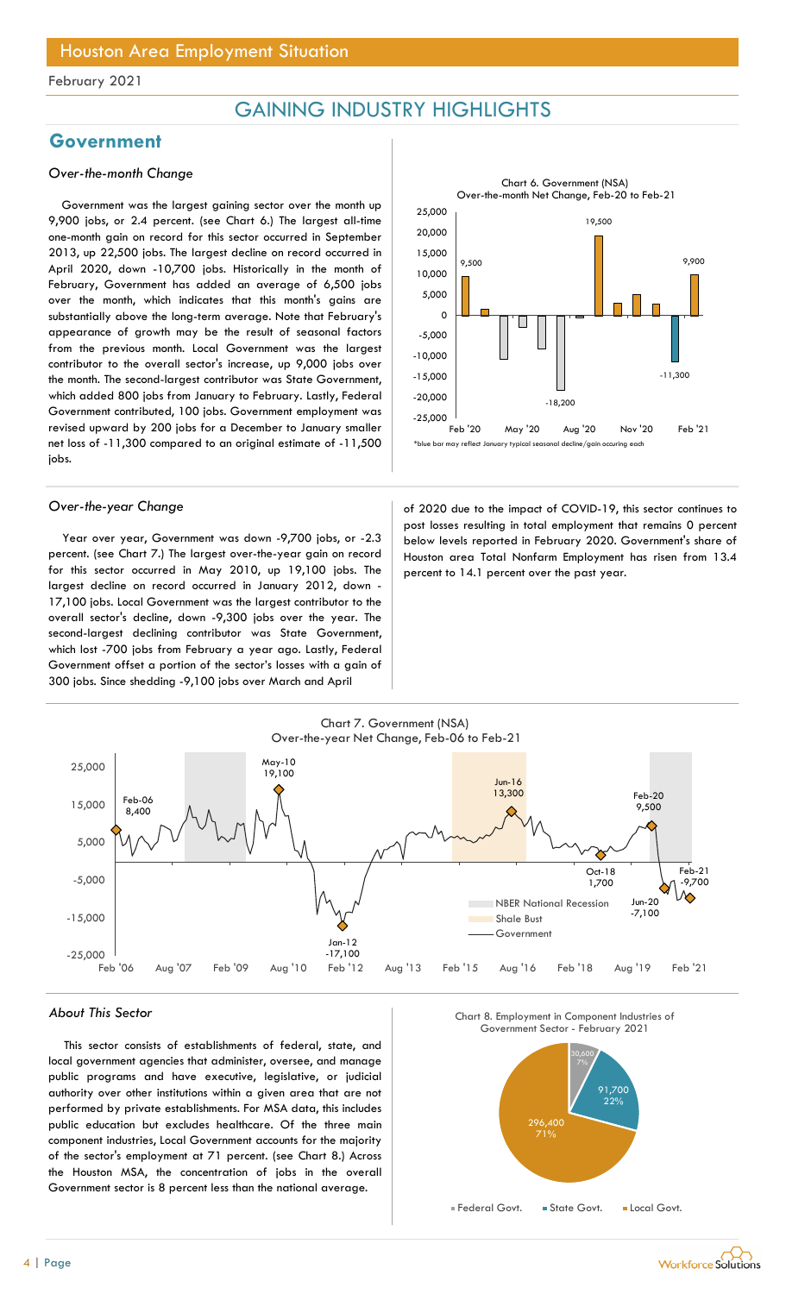## GAINING INDUSTRY HIGHLIGHTS

## Government

### Over-the-month Change

Government was the largest gaining sector over the month up 9,900 jobs, or 2.4 percent. (see Chart 6.) The largest all-time one-month gain on record for this sector occurred in September 2013, up 22,500 jobs. The largest decline on record occurred in April 2020, down -10,700 jobs. Historically in the month of February, Government has added an average of 6,500 jobs over the month, which indicates that this month's gains are substantially above the long-term average. Note that February's appearance of growth may be the result of seasonal factors from the previous month. Local Government was the largest contributor to the overall sector's increase, up 9,000 jobs over the month. The second-largest contributor was State Government, which added 800 jobs from January to February. Lastly, Federal Government contributed, 100 jobs. Government employment was revised upward by 200 jobs for a December to January smaller net loss of -11,300 compared to an original estimate of -11,500 jobs.

Year over year, Government was down -9,700 jobs, or -2.3 percent. (see Chart 7.) The largest over-the-year gain on record for this sector occurred in May 2010, up 19,100 jobs. The largest decline on record occurred in January 2012, down - 17,100 jobs. Local Government was the largest contributor to the overall sector's decline, down -9,300 jobs over the year. The second-largest declining contributor was State Government, which lost -700 jobs from February a year ago. Lastly, Federal Government offset a portion of the sector's losses with a gain of 300 jobs. Since shedding -9,100 jobs over March and April



Over-the-year Change and Covid-19, this sector continues to post losses resulting in total employment that remains 0 percent below levels reported in February 2020. Government's share of Houston area Total Nonfarm Employment has risen from 13.4 percent to 14.1 percent over the past year.



#### About This Sector

This sector consists of establishments of federal, state, and local government agencies that administer, oversee, and manage public programs and have executive, legislative, or judicial authority over other institutions within a given area that are not performed by private establishments. For MSA data, this includes public education but excludes healthcare. Of the three main component industries, Local Government accounts for the majority of the sector's employment at 71 percent. (see Chart 8.) Across the Houston MSA, the concentration of jobs in the overall Government sector is 8 percent less than the national average.





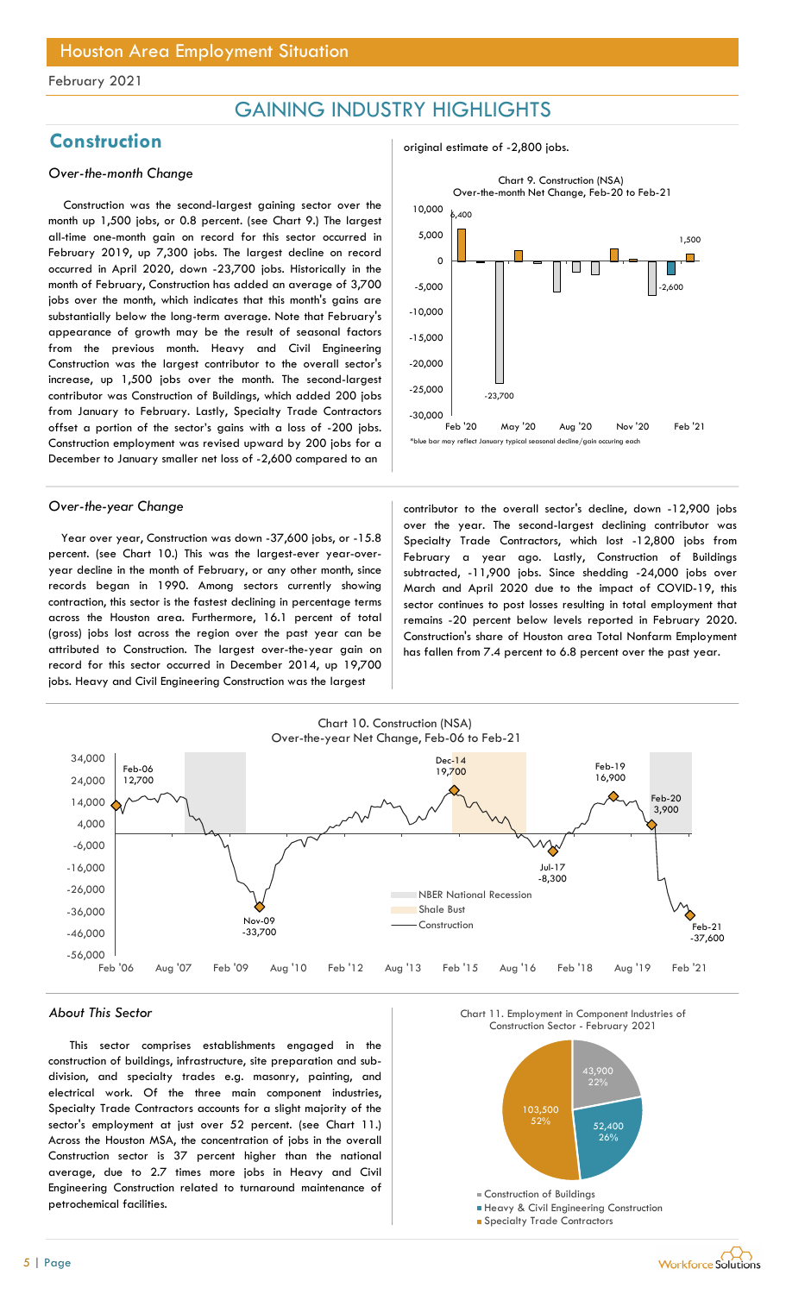## GAINING INDUSTRY HIGHLIGHTS

## Construction and the construction original estimate of -2,800 jobs.

### Over-the-month Change

Construction was the second-largest gaining sector over the month up 1,500 jobs, or 0.8 percent. (see Chart 9.) The largest all-time one-month gain on record for this sector occurred in February 2019, up 7,300 jobs. The largest decline on record occurred in April 2020, down -23,700 jobs. Historically in the month of February, Construction has added an average of 3,700 jobs over the month, which indicates that this month's gains are substantially below the long-term average. Note that February's appearance of growth may be the result of seasonal factors from the previous month. Heavy and Civil Engineering Construction was the largest contributor to the overall sector's increase, up 1,500 jobs over the month. The second-largest contributor was Construction of Buildings, which added 200 jobs from January to February. Lastly, Specialty Trade Contractors offset a portion of the sector's gains with a loss of -200 jobs. Construction employment was revised upward by 200 jobs for a December to January smaller net loss of -2,600 compared to an

Year over year, Construction was down -37,600 jobs, or -15.8 percent. (see Chart 10.) This was the largest-ever year-overyear decline in the month of February, or any other month, since records began in 1990. Among sectors currently showing contraction, this sector is the fastest declining in percentage terms across the Houston area. Furthermore, 16.1 percent of total (gross) jobs lost across the region over the past year can be attributed to Construction. The largest over-the-year gain on record for this sector occurred in December 2014, up 19,700 jobs. Heavy and Civil Engineering Construction was the largest



Over-the-year Change and the contributor to the overall sector's decline, down -12,900 jobs over the year. The second-largest declining contributor was Specialty Trade Contractors, which lost -12,800 jobs from February a year ago. Lastly, Construction of Buildings subtracted, -11,900 jobs. Since shedding -24,000 jobs over March and April 2020 due to the impact of COVID-19, this sector continues to post losses resulting in total employment that remains -20 percent below levels reported in February 2020. Construction's share of Houston area Total Nonfarm Employment has fallen from 7.4 percent to 6.8 percent over the past year.



#### About This Sector

This sector comprises establishments engaged in the construction of buildings, infrastructure, site preparation and subdivision, and specialty trades e.g. masonry, painting, and electrical work. Of the three main component industries, Specialty Trade Contractors accounts for a slight majority of the sector's employment at just over 52 percent. (see Chart 11.) Across the Houston MSA, the concentration of jobs in the overall Construction sector is 37 percent higher than the national average, due to 2.7 times more jobs in Heavy and Civil Engineering Construction related to turnaround maintenance of petrochemical facilities.





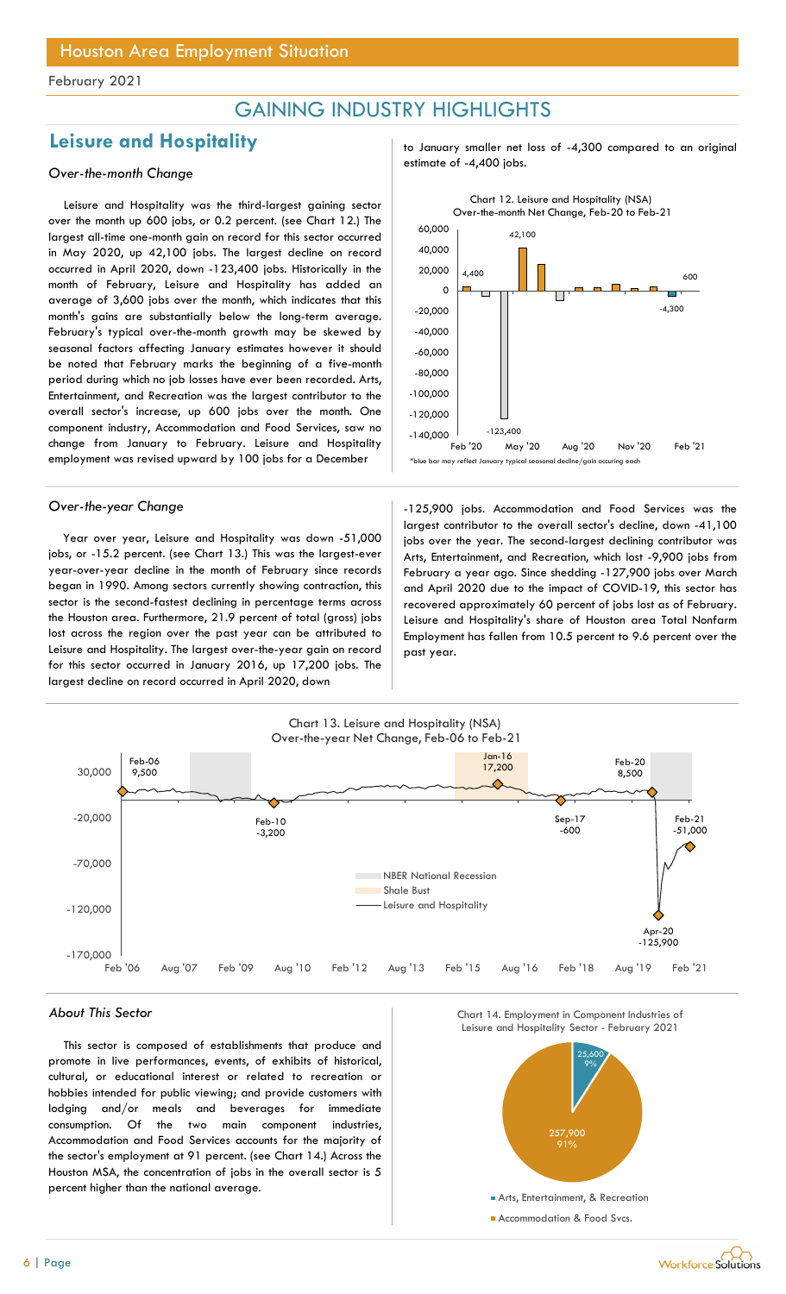## GAINING INDUSTRY HIGHLIGHTS

## Leisure and Hospitality to January smaller net loss of -4,300 compared to an original

Leisure and Hospitality was the third-largest gaining sector over the month up 600 jobs, or 0.2 percent. (see Chart 12.) The largest all-time one-month gain on record for this sector occurred in May 2020, up 42,100 jobs. The largest decline on record occurred in April 2020, down -123,400 jobs. Historically in the month of February, Leisure and Hospitality has added an average of 3,600 jobs over the month, which indicates that this month's gains are substantially below the long-term average. February's typical over-the-month growth may be skewed by seasonal factors affecting January estimates however it should be noted that February marks the beginning of a five-month period during which no job losses have ever been recorded. Arts, Entertainment, and Recreation was the largest contributor to the overall sector's increase, up 600 jobs over the month. One component industry, Accommodation and Food Services, saw no change from January to February. Leisure and Hospitality employment was revised upward by 100 jobs for a December

Year over year, Leisure and Hospitality was down -51,000 jobs, or -15.2 percent. (see Chart 13.) This was the largest-ever year-over-year decline in the month of February since records began in 1990. Among sectors currently showing contraction, this sector is the second-fastest declining in percentage terms across the Houston area. Furthermore, 21.9 percent of total (gross) jobs lost across the region over the past year can be attributed to Leisure and Hospitality. The largest over-the-year gain on record for this sector occurred in January 2016, up 17,200 jobs. The largest decline on record occurred in April 2020, down

estimate of -4,400 jobs. Over-the-month Change



Over-the-year Change and The state of the 125,900 jobs. Accommodation and Food Services was the largest contributor to the overall sector's decline, down -41,100 jobs over the year. The second-largest declining contributor was Arts, Entertainment, and Recreation, which lost -9,900 jobs from February a year ago. Since shedding -127,900 jobs over March and April 2020 due to the impact of COVID-19, this sector has recovered approximately 60 percent of jobs lost as of February. Leisure and Hospitality's share of Houston area Total Nonfarm Employment has fallen from 10.5 percent to 9.6 percent over the past year.



This sector is composed of establishments that produce and promote in live performances, events, of exhibits of historical, cultural, or educational interest or related to recreation or hobbies intended for public viewing; and provide customers with lodging and/or meals and beverages for immediate consumption. Of the two main component industries, Accommodation and Food Services accounts for the majority of the sector's employment at 91 percent. (see Chart 14.) Across the Houston MSA, the concentration of jobs in the overall sector is 5 percent higher than the national average.





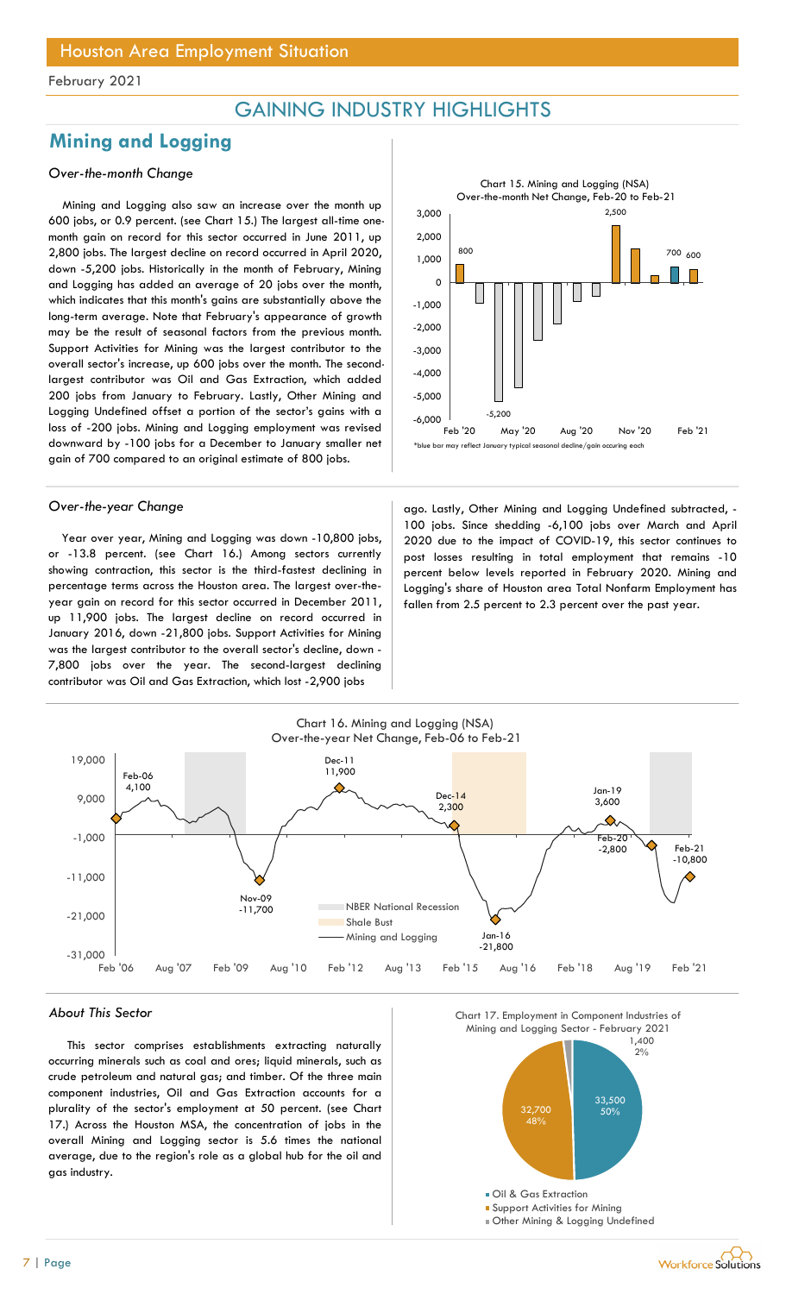## GAINING INDUSTRY HIGHLIGHTS

## Mining and Logging

### Over-the-month Change

Mining and Logging also saw an increase over the month up 600 jobs, or 0.9 percent. (see Chart 15.) The largest all-time onemonth gain on record for this sector occurred in June 2011, up 2,800 jobs. The largest decline on record occurred in April 2020, down -5,200 jobs. Historically in the month of February, Mining and Logging has added an average of 20 jobs over the month, which indicates that this month's gains are substantially above the long-term average. Note that February's appearance of growth may be the result of seasonal factors from the previous month. Support Activities for Mining was the largest contributor to the overall sector's increase, up 600 jobs over the month. The secondlargest contributor was Oil and Gas Extraction, which added 200 jobs from January to February. Lastly, Other Mining and Logging Undefined offset a portion of the sector's gains with a loss of -200 jobs. Mining and Logging employment was revised downward by -100 jobs for a December to January smaller net gain of 700 compared to an original estimate of 800 jobs.

Year over year, Mining and Logging was down -10,800 jobs, or -13.8 percent. (see Chart 16.) Among sectors currently showing contraction, this sector is the third-fastest declining in percentage terms across the Houston area. The largest over-theyear gain on record for this sector occurred in December 2011, up 11,900 jobs. The largest decline on record occurred in January 2016, down -21,800 jobs. Support Activities for Mining was the largest contributor to the overall sector's decline, down - 7,800 jobs over the year. The second-largest declining contributor was Oil and Gas Extraction, which lost -2,900 jobs



Over-the-year Change and ago. Lastly, Other Mining and Logging Undefined subtracted, -100 jobs. Since shedding -6,100 jobs over March and April 2020 due to the impact of COVID-19, this sector continues to post losses resulting in total employment that remains -10 percent below levels reported in February 2020. Mining and Logging's share of Houston area Total Nonfarm Employment has fallen from 2.5 percent to 2.3 percent over the past year.



#### About This Sector

This sector comprises establishments extracting naturally occurring minerals such as coal and ores; liquid minerals, such as crude petroleum and natural gas; and timber. Of the three main component industries, Oil and Gas Extraction accounts for a plurality of the sector's employment at 50 percent. (see Chart 17.) Across the Houston MSA, the concentration of jobs in the overall Mining and Logging sector is 5.6 times the national average, due to the region's role as a global hub for the oil and gas industry.



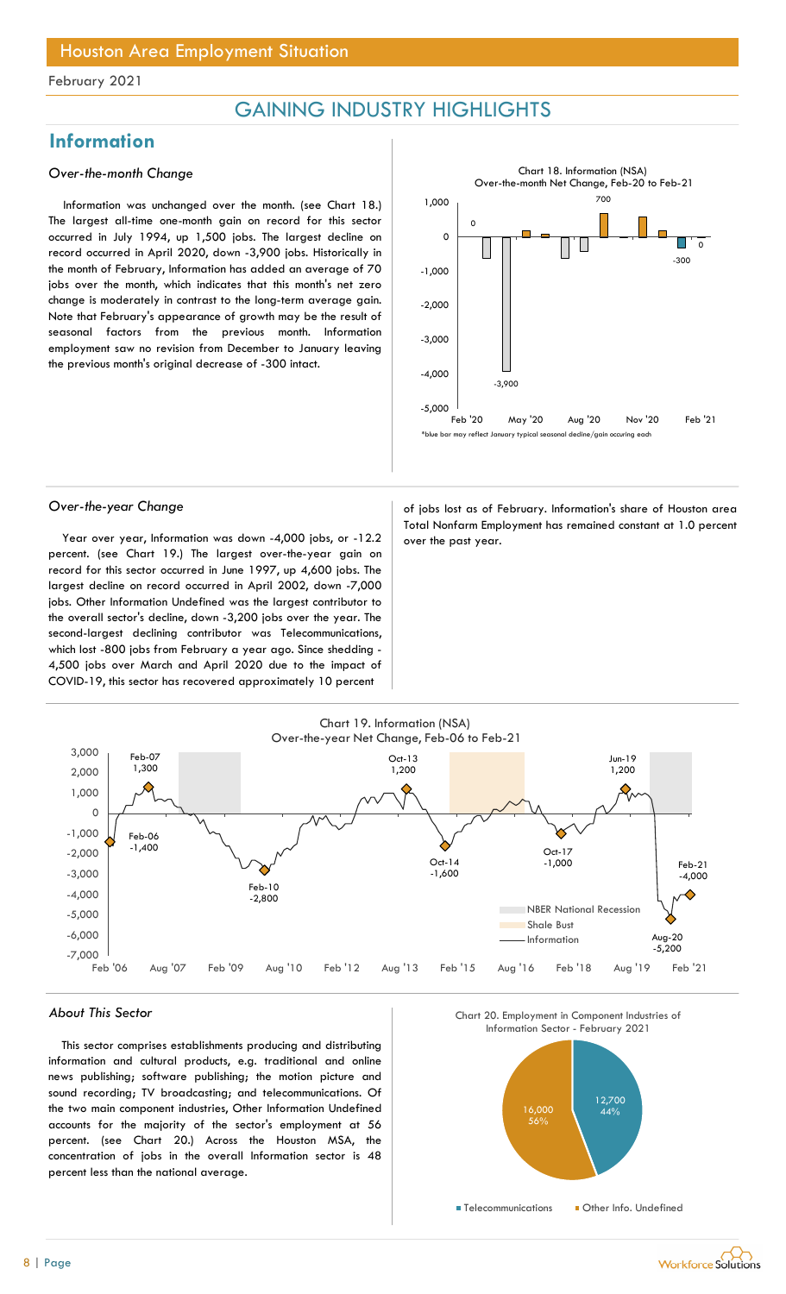## GAINING INDUSTRY HIGHLIGHTS

## Information

### Over-the-month Change

Information was unchanged over the month. (see Chart 18.) The largest all-time one-month gain on record for this sector occurred in July 1994, up 1,500 jobs. The largest decline on record occurred in April 2020, down -3,900 jobs. Historically in the month of February, Information has added an average of 70 jobs over the month, which indicates that this month's net zero change is moderately in contrast to the long-term average gain. Note that February's appearance of growth may be the result of seasonal factors from the previous month. Information employment saw no revision from December to January leaving the previous month's original decrease of -300 intact.



Year over year, Information was down -4,000 jobs, or  $-12.2$  over the past year. percent. (see Chart 19.) The largest over-the-year gain on record for this sector occurred in June 1997, up 4,600 jobs. The largest decline on record occurred in April 2002, down -7,000 jobs. Other Information Undefined was the largest contributor to the overall sector's decline, down -3,200 jobs over the year. The second-largest declining contributor was Telecommunications, which lost -800 jobs from February a year ago. Since shedding - 4,500 jobs over March and April 2020 due to the impact of COVID-19, this sector has recovered approximately 10 percent

Over-the-year Change and a setting of jobs lost as of February. Information's share of Houston area Total Nonfarm Employment has remained constant at 1.0 percent



#### About This Sector

This sector comprises establishments producing and distributing information and cultural products, e.g. traditional and online news publishing; software publishing; the motion picture and sound recording; TV broadcasting; and telecommunications. Of the two main component industries, Other Information Undefined accounts for the majority of the sector's employment at 56 percent. (see Chart 20.) Across the Houston MSA, the concentration of jobs in the overall Information sector is 48 percent less than the national average.





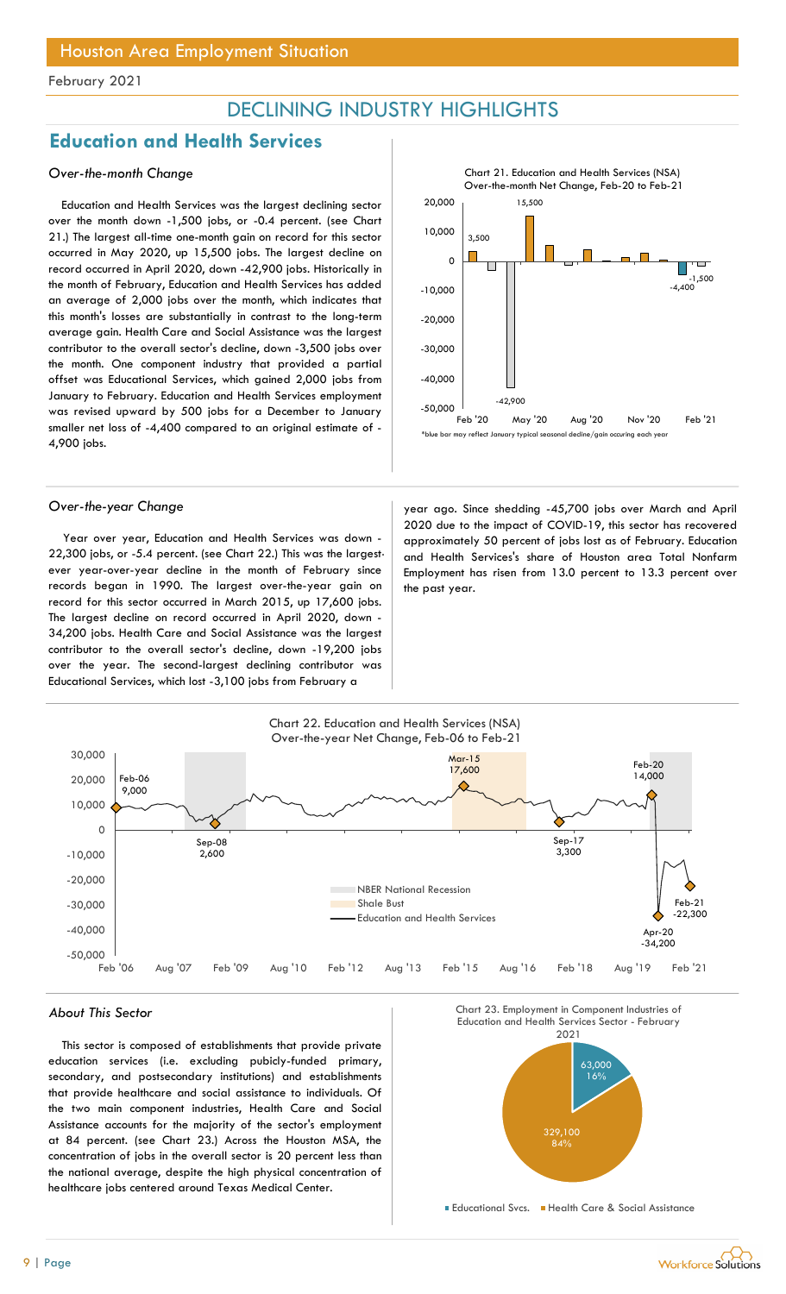## DECLINING INDUSTRY HIGHLIGHTS

## Education and Health Services

### Over-the-month Change

Education and Health Services was the largest declining sector over the month down -1,500 jobs, or -0.4 percent. (see Chart 21.) The largest all-time one-month gain on record for this sector occurred in May 2020, up 15,500 jobs. The largest decline on record occurred in April 2020, down -42,900 jobs. Historically in the month of February, Education and Health Services has added an average of 2,000 jobs over the month, which indicates that this month's losses are substantially in contrast to the long-term average gain. Health Care and Social Assistance was the largest contributor to the overall sector's decline, down -3,500 jobs over the month. One component industry that provided a partial offset was Educational Services, which gained 2,000 jobs from January to February. Education and Health Services employment was revised upward by 500 jobs for a December to January smaller net loss of -4,400 compared to an original estimate of - 4,900 jobs.



Year over year, Education and Health Services was down - 22,300 jobs, or -5.4 percent. (see Chart 22.) This was the largestever year-over-year decline in the month of February since records began in 1990. The largest over-the-year gain on record for this sector occurred in March 2015, up 17,600 jobs. The largest decline on record occurred in April 2020, down - 34,200 jobs. Health Care and Social Assistance was the largest contributor to the overall sector's decline, down -19,200 jobs over the year. The second-largest declining contributor was Educational Services, which lost -3,100 jobs from February a



Over-the-year Change and South and April (year ago. Since shedding -45,700 jobs over March and April 2020 due to the impact of COVID-19, this sector has recovered approximately 50 percent of jobs lost as of February. Education and Health Services's share of Houston area Total Nonfarm Employment has risen from 13.0 percent to 13.3 percent over the past year.



This sector is composed of establishments that provide private education services (i.e. excluding pubicly-funded primary, secondary, and postsecondary institutions) and establishments that provide healthcare and social assistance to individuals. Of the two main component industries, Health Care and Social Assistance accounts for the majority of the sector's employment at 84 percent. (see Chart 23.) Across the Houston MSA, the concentration of jobs in the overall sector is 20 percent less than the national average, despite the high physical concentration of healthcare jobs centered around Texas Medical Center.



Educational Svcs. Health Care & Social Assistance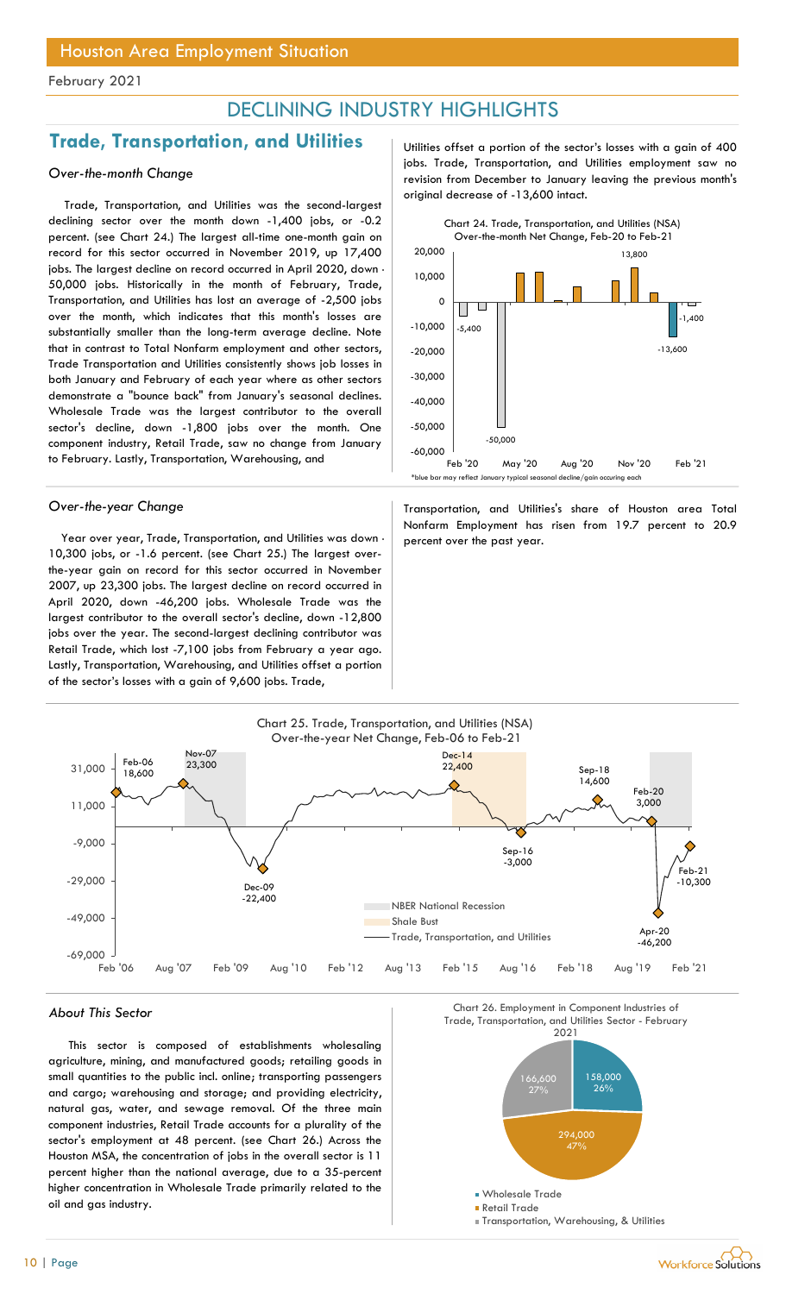## DECLINING INDUSTRY HIGHLIGHTS

## Trade, Transportation, and Utilities | Utilities offset a portion of the sector's losses with a gain of 400

### Over-the-month Change

Trade, Transportation, and Utilities was the second-largest declining sector over the month down -1,400 jobs, or -0.2 percent. (see Chart 24.) The largest all-time one-month gain on record for this sector occurred in November 2019, up 17,400 jobs. The largest decline on record occurred in April 2020, down -50,000 jobs. Historically in the month of February, Trade, Transportation, and Utilities has lost an average of -2,500 jobs over the month, which indicates that this month's losses are substantially smaller than the long-term average decline. Note that in contrast to Total Nonfarm employment and other sectors, Trade Transportation and Utilities consistently shows job losses in both January and February of each year where as other sectors demonstrate a "bounce back" from January's seasonal declines. Wholesale Trade was the largest contributor to the overall sector's decline, down -1,800 jobs over the month. One component industry, Retail Trade, saw no change from January to February. Lastly, Transportation, Warehousing, and

Year over year, Trade, Transportation, and Utilities was down  $\cdot$  percent over the past year. 10,300 jobs, or -1.6 percent. (see Chart 25.) The largest overthe-year gain on record for this sector occurred in November 2007, up 23,300 jobs. The largest decline on record occurred in April 2020, down -46,200 jobs. Wholesale Trade was the largest contributor to the overall sector's decline, down -12,800 jobs over the year. The second-largest declining contributor was Retail Trade, which lost -7,100 jobs from February a year ago. Lastly, Transportation, Warehousing, and Utilities offset a portion of the sector's losses with a gain of 9,600 jobs. Trade,

jobs. Trade, Transportation, and Utilities employment saw no revision from December to January leaving the previous month's original decrease of -13,600 intact.



Over-the-year Change Transportation, and Utilities's share of Houston area Total Nonfarm Employment has risen from 19.7 percent to 20.9

![](_page_9_Figure_11.jpeg)

This sector is composed of establishments wholesaling agriculture, mining, and manufactured goods; retailing goods in small quantities to the public incl. online; transporting passengers and cargo; warehousing and storage; and providing electricity, natural gas, water, and sewage removal. Of the three main component industries, Retail Trade accounts for a plurality of the sector's employment at 48 percent. (see Chart 26.) Across the Houston MSA, the concentration of jobs in the overall sector is 11 percent higher than the national average, due to a 35-percent higher concentration in Wholesale Trade primarily related to the oil and gas industry.

![](_page_9_Figure_14.jpeg)

![](_page_9_Picture_15.jpeg)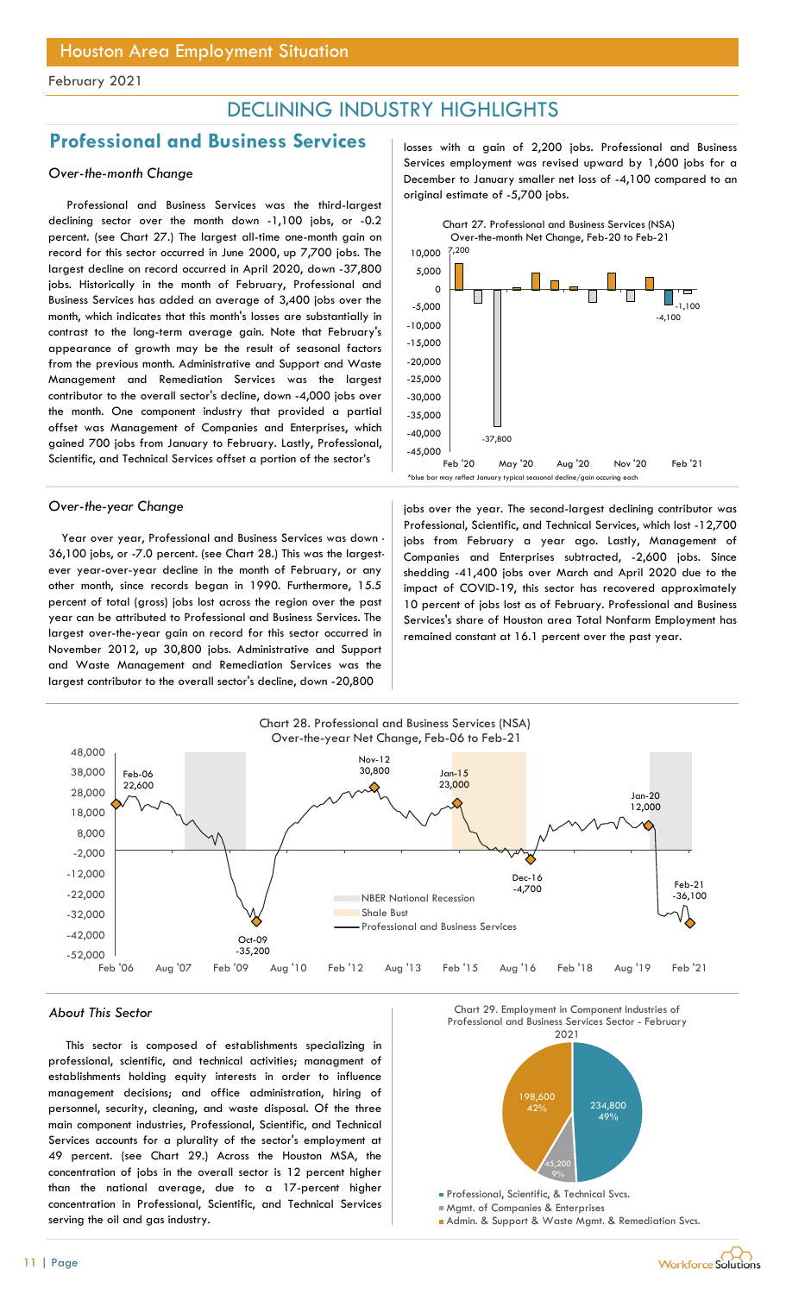## DECLINING INDUSTRY HIGHLIGHTS

## Professional and Business Services | losses with a gain of 2,200 jobs. Professional and Business

### Over-the-month Change

Professional and Business Services was the third-largest declining sector over the month down -1,100 jobs, or -0.2 percent. (see Chart 27.) The largest all-time one-month gain on record for this sector occurred in June 2000, up 7,700 jobs. The largest decline on record occurred in April 2020, down -37,800 jobs. Historically in the month of February, Professional and Business Services has added an average of 3,400 jobs over the month, which indicates that this month's losses are substantially in contrast to the long-term average gain. Note that February's appearance of growth may be the result of seasonal factors from the previous month. Administrative and Support and Waste Management and Remediation Services was the largest contributor to the overall sector's decline, down -4,000 jobs over the month. One component industry that provided a partial offset was Management of Companies and Enterprises, which gained 700 jobs from January to February. Lastly, Professional, Scientific, and Technical Services offset a portion of the sector's

Year over year, Professional and Business Services was down - 36,100 jobs, or -7.0 percent. (see Chart 28.) This was the largestever year-over-year decline in the month of February, or any other month, since records began in 1990. Furthermore, 15.5 percent of total (gross) jobs lost across the region over the past year can be attributed to Professional and Business Services. The largest over-the-year gain on record for this sector occurred in November 2012, up 30,800 jobs. Administrative and Support and Waste Management and Remediation Services was the largest contributor to the overall sector's decline, down -20,800

Services employment was revised upward by 1,600 jobs for a December to January smaller net loss of -4,100 compared to an original estimate of -5,700 jobs.

![](_page_10_Figure_9.jpeg)

Over-the-year Change in the second-largest declining contributor was Professional, Scientific, and Technical Services, which lost -12,700 jobs from February a year ago. Lastly, Management of Companies and Enterprises subtracted, -2,600 jobs. Since shedding -41,400 jobs over March and April 2020 due to the impact of COVID-19, this sector has recovered approximately 10 percent of jobs lost as of February. Professional and Business Services's share of Houston area Total Nonfarm Employment has remained constant at 16.1 percent over the past year.

![](_page_10_Figure_11.jpeg)

This sector is composed of establishments specializing in professional, scientific, and technical activities; managment of establishments holding equity interests in order to influence management decisions; and office administration, hiring of personnel, security, cleaning, and waste disposal. Of the three main component industries, Professional, Scientific, and Technical Services accounts for a plurality of the sector's employment at 49 percent. (see Chart 29.) Across the Houston MSA, the concentration of jobs in the overall sector is 12 percent higher than the national average, due to a 17-percent higher concentration in Professional, Scientific, and Technical Services serving the oil and gas industry.

![](_page_10_Figure_14.jpeg)

![](_page_10_Figure_15.jpeg)

![](_page_10_Figure_16.jpeg)

![](_page_10_Picture_18.jpeg)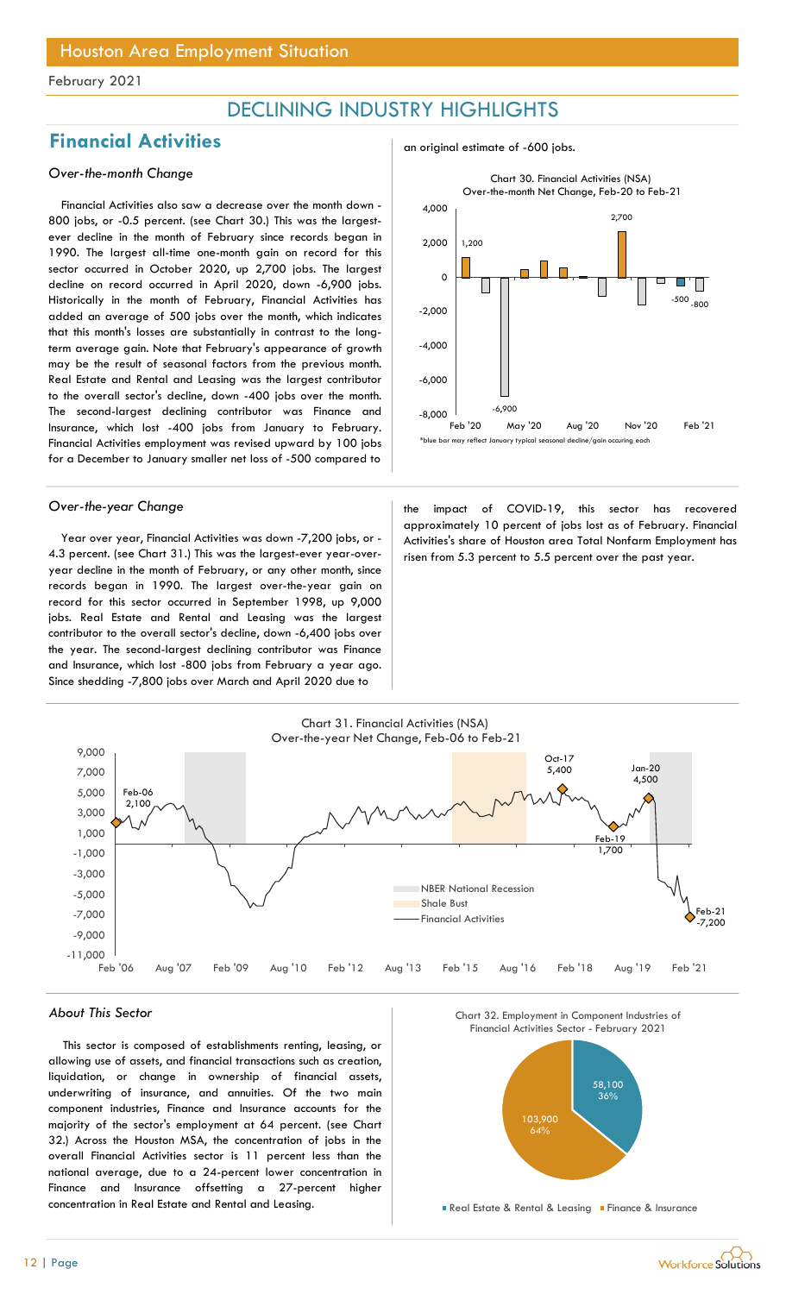## DECLINING INDUSTRY HIGHLIGHTS

## Financial Activities<br>an original estimate of -600 jobs.

### Over-the-month Change

Financial Activities also saw a decrease over the month down - 800 jobs, or -0.5 percent. (see Chart 30.) This was the largestever decline in the month of February since records began in 1990. The largest all-time one-month gain on record for this sector occurred in October 2020, up 2,700 jobs. The largest decline on record occurred in April 2020, down -6,900 jobs. Historically in the month of February, Financial Activities has added an average of 500 jobs over the month, which indicates that this month's losses are substantially in contrast to the longterm average gain. Note that February's appearance of growth may be the result of seasonal factors from the previous month. Real Estate and Rental and Leasing was the largest contributor to the overall sector's decline, down -400 jobs over the month. The second-largest declining contributor was Finance and Insurance, which lost -400 jobs from January to February. Financial Activities employment was revised upward by 100 jobs for a December to January smaller net loss of -500 compared to

Year over year, Financial Activities was down -7,200 jobs, or - 4.3 percent. (see Chart 31.) This was the largest-ever year-overyear decline in the month of February, or any other month, since records began in 1990. The largest over-the-year gain on record for this sector occurred in September 1998, up 9,000 jobs. Real Estate and Rental and Leasing was the largest contributor to the overall sector's decline, down -6,400 jobs over the year. The second-largest declining contributor was Finance and Insurance, which lost -800 jobs from February a year ago. Since shedding -7,800 jobs over March and April 2020 due to

![](_page_11_Figure_8.jpeg)

![](_page_11_Figure_9.jpeg)

Over-the-year Change the impact of COVID-19, this sector has recovered approximately 10 percent of jobs lost as of February. Financial Activities's share of Houston area Total Nonfarm Employment has risen from 5.3 percent to 5.5 percent over the past year.

![](_page_11_Figure_11.jpeg)

#### About This Sector

This sector is composed of establishments renting, leasing, or allowing use of assets, and financial transactions such as creation, liquidation, or change in ownership of financial assets, underwriting of insurance, and annuities. Of the two main component industries, Finance and Insurance accounts for the majority of the sector's employment at 64 percent. (see Chart 32.) Across the Houston MSA, the concentration of jobs in the overall Financial Activities sector is 11 percent less than the national average, due to a 24-percent lower concentration in Finance and Insurance offsetting a 27-percent higher concentration in Real Estate and Rental and Leasing.

Chart 32. Employment in Component Industries of

![](_page_11_Figure_15.jpeg)

**Real Estate & Rental & Leasing Finance & Insurance**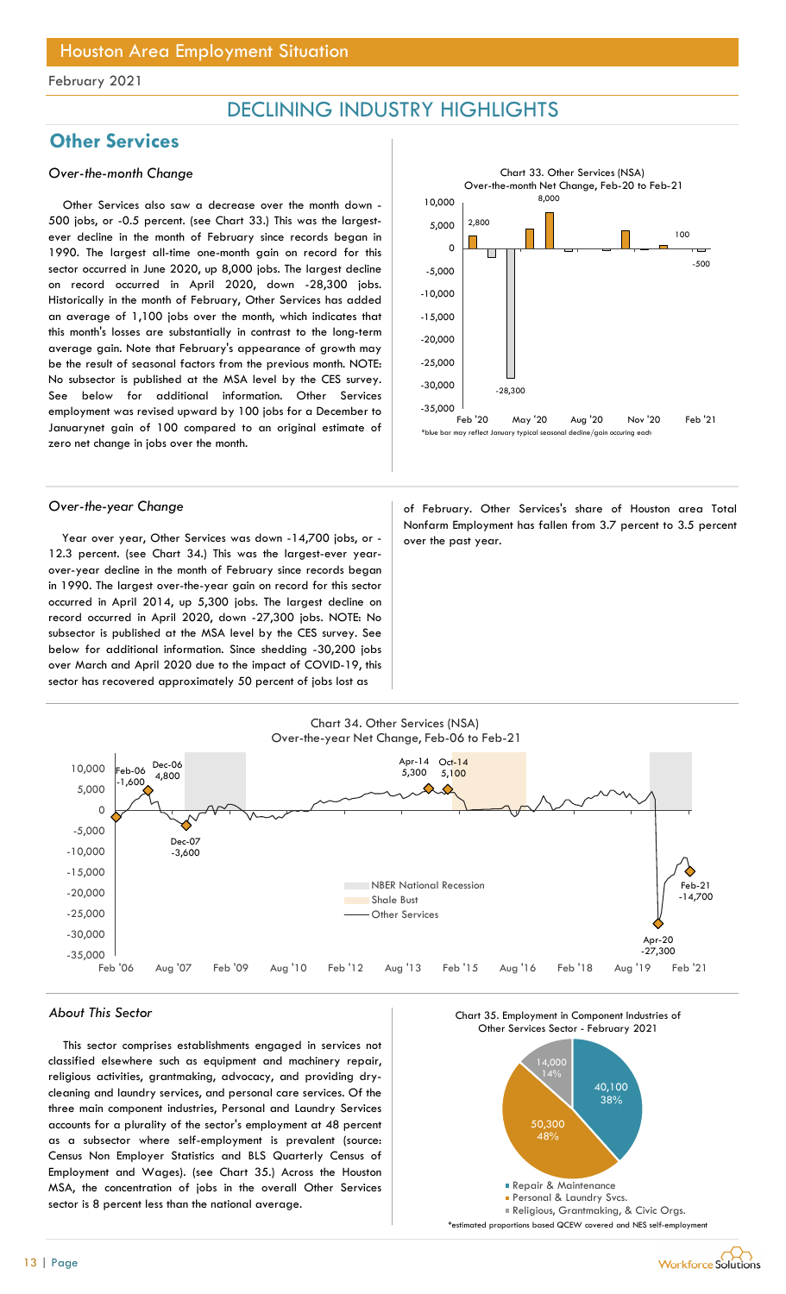## DECLINING INDUSTRY HIGHLIGHTS

## **Other Services**

### Over-the-month Change

Other Services also saw a decrease over the month down - 500 jobs, or -0.5 percent. (see Chart 33.) This was the largestever decline in the month of February since records began in 1990. The largest all-time one-month gain on record for this sector occurred in June 2020, up 8,000 jobs. The largest decline on record occurred in April 2020, down -28,300 jobs. Historically in the month of February, Other Services has added an average of 1,100 jobs over the month, which indicates that this month's losses are substantially in contrast to the long-term average gain. Note that February's appearance of growth may be the result of seasonal factors from the previous month. NOTE: No subsector is published at the MSA level by the CES survey. See below for additional information. Other Services employment was revised upward by 100 jobs for a December to Januarynet gain of 100 compared to an original estimate of zero net change in jobs over the month.

Year over year, Other Services was down  $-14,700$  jobs, or  $-$  over the past year. 12.3 percent. (see Chart 34.) This was the largest-ever yearover-year decline in the month of February since records began in 1990. The largest over-the-year gain on record for this sector occurred in April 2014, up 5,300 jobs. The largest decline on record occurred in April 2020, down -27,300 jobs. NOTE: No subsector is published at the MSA level by the CES survey. See below for additional information. Since shedding -30,200 jobs over March and April 2020 due to the impact of COVID-19, this sector has recovered approximately 50 percent of jobs lost as

![](_page_12_Figure_8.jpeg)

Over-the-year Change and a state of February. Other Services's share of Houston area Total Nonfarm Employment has fallen from 3.7 percent to 3.5 percent

![](_page_12_Figure_10.jpeg)

#### About This Sector

This sector comprises establishments engaged in services not classified elsewhere such as equipment and machinery repair, religious activities, grantmaking, advocacy, and providing drycleaning and laundry services, and personal care services. Of the three main component industries, Personal and Laundry Services accounts for a plurality of the sector's employment at 48 percent as a subsector where self-employment is prevalent (source: Census Non Employer Statistics and BLS Quarterly Census of Employment and Wages). (see Chart 35.) Across the Houston MSA, the concentration of jobs in the overall Other Services sector is 8 percent less than the national average.

![](_page_12_Figure_13.jpeg)

![](_page_12_Figure_14.jpeg)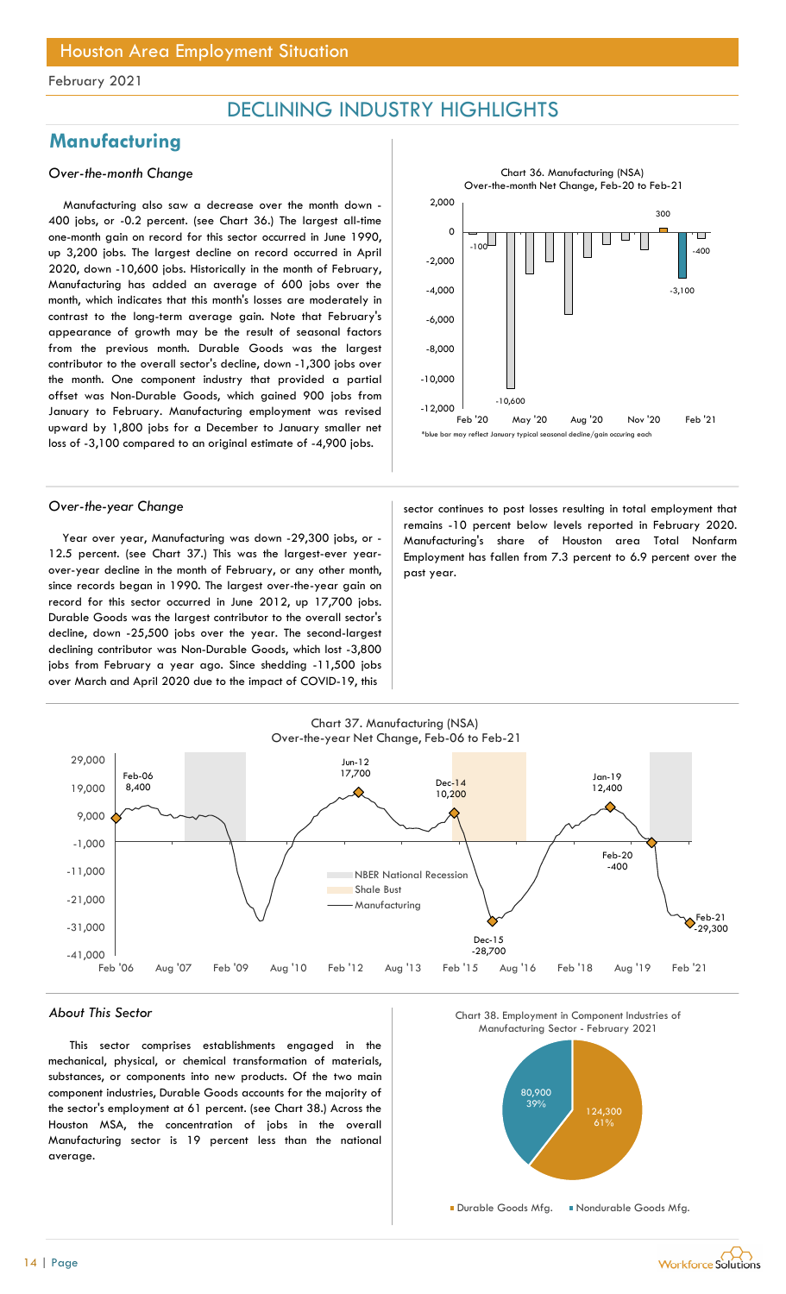## DECLINING INDUSTRY HIGHLIGHTS

## **Manufacturing**

### Over-the-month Change

Manufacturing also saw a decrease over the month down - 400 jobs, or -0.2 percent. (see Chart 36.) The largest all-time one-month gain on record for this sector occurred in June 1990, up 3,200 jobs. The largest decline on record occurred in April 2020, down -10,600 jobs. Historically in the month of February, Manufacturing has added an average of 600 jobs over the month, which indicates that this month's losses are moderately in contrast to the long-term average gain. Note that February's appearance of growth may be the result of seasonal factors from the previous month. Durable Goods was the largest contributor to the overall sector's decline, down -1,300 jobs over the month. One component industry that provided a partial offset was Non-Durable Goods, which gained 900 jobs from January to February. Manufacturing employment was revised upward by 1,800 jobs for a December to January smaller net loss of -3,100 compared to an original estimate of -4,900 jobs.

![](_page_13_Figure_6.jpeg)

Year over year, Manufacturing was down -29,300 jobs, or - 12.5 percent. (see Chart 37.) This was the largest-ever yearover-year decline in the month of February, or any other month, since records began in 1990. The largest over-the-year gain on record for this sector occurred in June 2012, up 17,700 jobs. Durable Goods was the largest contributor to the overall sector's decline, down -25,500 jobs over the year. The second-largest declining contributor was Non-Durable Goods, which lost -3,800 jobs from February a year ago. Since shedding -11,500 jobs over March and April 2020 due to the impact of COVID-19, this

Over-the-year Change sector continues to post losses resulting in total employment that remains -10 percent below levels reported in February 2020. Manufacturing's share of Houston area Total Nonfarm Employment has fallen from 7.3 percent to 6.9 percent over the past year.

![](_page_13_Figure_10.jpeg)

#### About This Sector

This sector comprises establishments engaged in the mechanical, physical, or chemical transformation of materials, substances, or components into new products. Of the two main component industries, Durable Goods accounts for the majority of the sector's employment at 61 percent. (see Chart 38.) Across the Houston MSA, the concentration of jobs in the overall Manufacturing sector is 19 percent less than the national average.

![](_page_13_Figure_13.jpeg)

![](_page_13_Figure_14.jpeg)

![](_page_13_Picture_15.jpeg)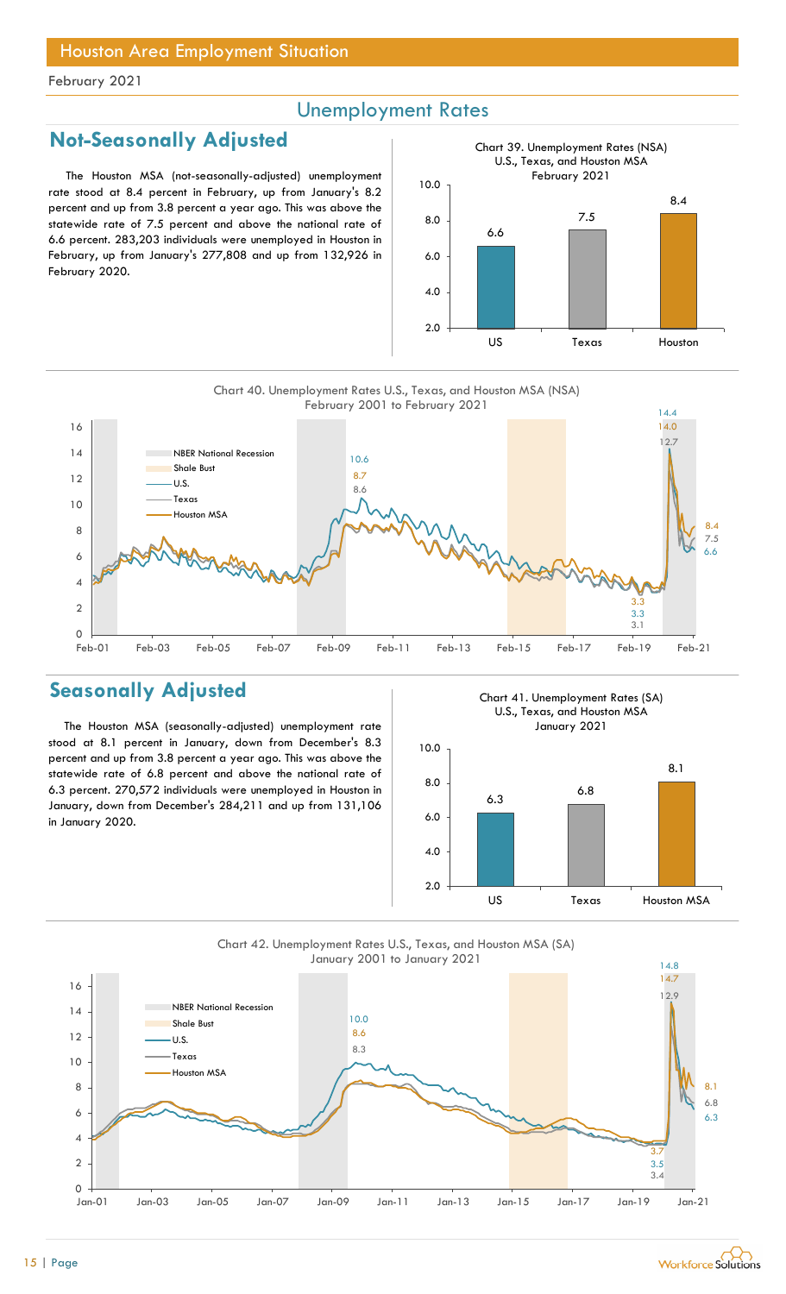## Unemployment Rates

## Not-Seasonally Adjusted

The Houston MSA (not-seasonally-adjusted) unemployment rate stood at 8.4 percent in February, up from January's 8.2 percent and up from 3.8 percent a year ago. This was above the statewide rate of 7.5 percent and above the national rate of 6.6 percent. 283,203 individuals were unemployed in Houston in February, up from January's 277,808 and up from 132,926 in February 2020.

![](_page_14_Figure_5.jpeg)

![](_page_14_Figure_6.jpeg)

## Seasonally Adjusted

The Houston MSA (seasonally-adjusted) unemployment rate stood at 8.1 percent in January, down from December's 8.3 percent and up from 3.8 percent a year ago. This was above the statewide rate of 6.8 percent and above the national rate of 6.3 percent. 270,572 individuals were unemployed in Houston in January, down from December's 284,211 and up from 131,106 in January 2020.

Chart 41. Unemployment Rates (SA) U.S., Texas, and Houston MSA January 2021

![](_page_14_Figure_10.jpeg)

![](_page_14_Figure_11.jpeg)

![](_page_14_Picture_12.jpeg)